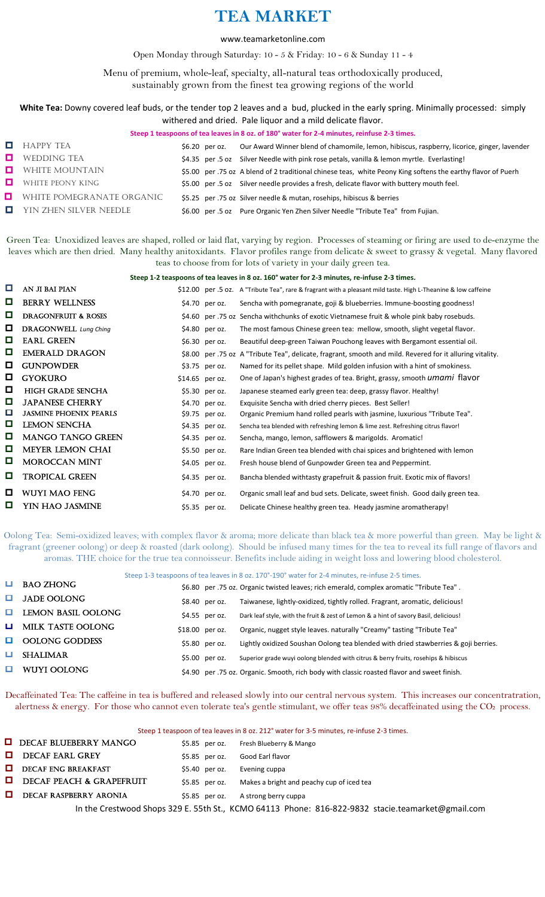# TEA MARKET

www.teamarketonline.com

Open Monday through Saturday: 10 - 5 & Friday: 10 - 6 & Sunday 11 - 4

Menu of premium, whole-leaf, specialty, all-natural teas orthodoxically produced, sustainably grown from the finest tea growing regions of the world

### White Tea: Downy covered leaf buds, or the tender top 2 leaves and a bud, plucked in the early spring. Minimally processed: simply

|  | withered and dried. Pale liquor and a mild delicate flavor. |
|--|-------------------------------------------------------------|
|--|-------------------------------------------------------------|

|                | Steep 1 teaspoons of tea leaves in 8 oz. of 180° water for 2-4 minutes, reinfuse 2-3 times. |                |                                                                                                              |  |  |
|----------------|---------------------------------------------------------------------------------------------|----------------|--------------------------------------------------------------------------------------------------------------|--|--|
| L.             | <b>HAPPY TEA</b>                                                                            | \$6.20 per oz. | Our Award Winner blend of chamomile, lemon, hibiscus, raspberry, licorice, ginger, lavender                  |  |  |
| o              | <b>WEDDING TEA</b>                                                                          |                | \$4.35 per .5 oz Silver Needle with pink rose petals, vanilla & lemon myrtle. Everlasting!                   |  |  |
| o              | WHITE MOUNTAIN                                                                              |                | \$5.00 per .75 oz A blend of 2 traditional chinese teas, white Peony King softens the earthy flavor of Puerh |  |  |
| o              | WHITE PEONY KING                                                                            |                | \$5.00 per .5 oz Silver needle provides a fresh, delicate flavor with buttery mouth feel.                    |  |  |
| O              | WHITE POMEGRANATE ORGANIC                                                                   |                | \$5.25 per .75 oz Silver needle & mutan, rosehips, hibiscus & berries                                        |  |  |
| $\blacksquare$ | YIN ZHEN SILVER NEEDLE                                                                      |                | \$6.00 per .5 oz Pure Organic Yen Zhen Silver Needle "Tribute Tea" from Fujian.                              |  |  |

Green Tea: Unoxidized leaves are shaped, rolled or laid flat, varying by region. Processes of steaming or firing are used to de-enzyme the leaves which are then dried. Many healthy anitoxidants. Flavor profiles range from delicate & sweet to grassy & vegetal. Many flavored teas to choose from for lots of variety in your daily green tea.

|   | Steep 1-2 teaspoons of tea leaves in 8 oz. 160° water for 2-3 minutes, re-infuse 2-3 times. |                  |                 |                                                                                                                |  |  |  |
|---|---------------------------------------------------------------------------------------------|------------------|-----------------|----------------------------------------------------------------------------------------------------------------|--|--|--|
| O | AN JI BAI PIAN                                                                              |                  |                 | \$12.00 per .5 oz. A "Tribute Tea", rare & fragrant with a pleasant mild taste. High L-Theanine & low caffeine |  |  |  |
| O | <b>BERRY WELLNESS</b>                                                                       |                  | \$4.70 per oz.  | Sencha with pomegranate, goji & blueberries. Immune-boosting goodness!                                         |  |  |  |
| O | DRAGONFRUIT & ROSES                                                                         |                  |                 | \$4.60 per .75 oz Sencha withchunks of exotic Vietnamese fruit & whole pink baby rosebuds.                     |  |  |  |
| 0 | <b>DRAGONWELL</b> Lung Ching                                                                |                  | \$4.80 per oz.  | The most famous Chinese green tea: mellow, smooth, slight vegetal flavor.                                      |  |  |  |
| O | <b>EARL GREEN</b>                                                                           |                  | \$6.30 per oz.  | Beautiful deep-green Taiwan Pouchong leaves with Bergamont essential oil.                                      |  |  |  |
| O | <b>EMERALD DRAGON</b>                                                                       |                  |                 | \$8.00 per .75 oz A "Tribute Tea", delicate, fragrant, smooth and mild. Revered for it alluring vitality.      |  |  |  |
| 0 | <b>GUNPOWDER</b>                                                                            |                  | \$3.75 per oz.  | Named for its pellet shape. Mild golden infusion with a hint of smokiness.                                     |  |  |  |
| O | <b>GYOKURO</b>                                                                              | $$14.65$ per oz. |                 | One of Japan's highest grades of tea. Bright, grassy, smooth <i>umami</i> flavor                               |  |  |  |
| o | <b>HIGH GRADE SENCHA</b>                                                                    |                  | \$5.30 per oz.  | Japanese steamed early green tea: deep, grassy flavor. Healthy!                                                |  |  |  |
| O | <b>JAPANESE CHERRY</b>                                                                      |                  | \$4.70 per oz.  | Exquisite Sencha with dried cherry pieces. Best Seller!                                                        |  |  |  |
| O | <b>JASMINE PHOENIX PEARLS</b>                                                               |                  | \$9.75 per oz.  | Organic Premium hand rolled pearls with jasmine, luxurious "Tribute Tea".                                      |  |  |  |
| 0 | <b>LEMON SENCHA</b>                                                                         |                  | \$4.35 per oz.  | Sencha tea blended with refreshing lemon & lime zest. Refreshing citrus flavor!                                |  |  |  |
| O | <b>MANGO TANGO GREEN</b>                                                                    |                  | $$4.35$ per oz. | Sencha, mango, lemon, safflowers & marigolds. Aromatic!                                                        |  |  |  |
| O | MEYER LEMON CHAI                                                                            |                  | \$5.50 per oz.  | Rare Indian Green tea blended with chai spices and brightened with lemon                                       |  |  |  |
| O | <b>MOROCCAN MINT</b>                                                                        |                  | \$4.05 per oz.  | Fresh house blend of Gunpowder Green tea and Peppermint.                                                       |  |  |  |
| O | <b>TROPICAL GREEN</b>                                                                       |                  | \$4.35 per oz.  | Bancha blended withtasty grapefruit & passion fruit. Exotic mix of flavors!                                    |  |  |  |
| O | WUYI MAO FENG                                                                               |                  | \$4.70 per oz.  | Organic small leaf and bud sets. Delicate, sweet finish. Good daily green tea.                                 |  |  |  |
| 0 | YIN HAO JASMINE                                                                             |                  | \$5.35 per oz.  | Delicate Chinese healthy green tea. Heady jasmine aromatherapy!                                                |  |  |  |

Oolong Tea: Semi-oxidized leaves; with complex flavor & aroma; more delicate than black tea & more powerful than green. May be light & fragrant (greener oolong) or deep & roasted (dark oolong). Should be infused many times for the tea to reveal its full range of flavors and aromas. THE choice for the true tea connoisseur. Benefits include aiding in weight loss and lowering blood cholesterol.

#### Steep 1-3 teaspoons of tea leaves in 8 oz. 170°-190° water for 2-4 minutes, re-infuse 2-5 times.

|   | <b>BAO ZHONG</b>         |                 |                 | \$6.80 per .75 oz. Organic twisted leaves; rich emerald, complex aromatic "Tribute Tea".    |
|---|--------------------------|-----------------|-----------------|---------------------------------------------------------------------------------------------|
|   | <b>JADE OOLONG</b>       |                 | \$8.40 per oz.  | Taiwanese, lightly-oxidized, tightly rolled. Fragrant, aromatic, delicious!                 |
|   | LEMON BASIL OOLONG       |                 | $$4.55$ per oz. | Dark leaf style, with the fruit & zest of Lemon & a hint of savory Basil, delicious!        |
| о | <b>MILK TASTE OOLONG</b> | \$18.00 per oz. |                 | Organic, nugget style leaves. naturally "Creamy" tasting "Tribute Tea"                      |
| o | <b>OOLONG GODDESS</b>    |                 | \$5.80 per oz.  | Lightly oxidized Soushan Oolong tea blended with dried stawberries & goji berries.          |
|   | <b>SHALIMAR</b>          |                 | $$5.00$ per oz. | Superior grade wuyi oolong blended with citrus & berry fruits, rosehips & hibiscus          |
|   | WUYI OOLONG              |                 |                 | \$4.90 per .75 oz. Organic. Smooth, rich body with classic roasted flavor and sweet finish. |
|   |                          |                 |                 |                                                                                             |

Decaffeinated Tea: The caffeine in tea is buffered and released slowly into our central nervous system. This increases our concentratration, alertness & energy. For those who cannot even tolerate tea's gentle stimulant, we offer teas 98% decaffeinated using the CO₂ process.

|   | Steep 1 teaspoon of tea leaves in 8 oz. 212° water for 3-5 minutes, re-infuse 2-3 times.          |                 |                                           |  |  |  |  |
|---|---------------------------------------------------------------------------------------------------|-----------------|-------------------------------------------|--|--|--|--|
|   | DECAF BLUEBERRY MANGO                                                                             | \$5.85 per oz.  | Fresh Blueberry & Mango                   |  |  |  |  |
|   | <b>DECAF EARL GREY</b>                                                                            | \$5.85 per oz.  | Good Earl flavor                          |  |  |  |  |
|   | <b>DECAF ENG BREAKFAST</b>                                                                        | $$5.40$ per oz. | Evening cuppa                             |  |  |  |  |
|   | DECAF PEACH & GRAPEFRUIT                                                                          | \$5.85 per oz.  | Makes a bright and peachy cup of iced tea |  |  |  |  |
| 0 | DECAF RASPBERRY ARONIA                                                                            | $$5.85$ per oz. | A strong berry cuppa                      |  |  |  |  |
|   | In the Crestwood Shops 329 E. 55th St., KCMO 64113 Phone: 816-822-9832 stacie.teamarket@gmail.com |                 |                                           |  |  |  |  |